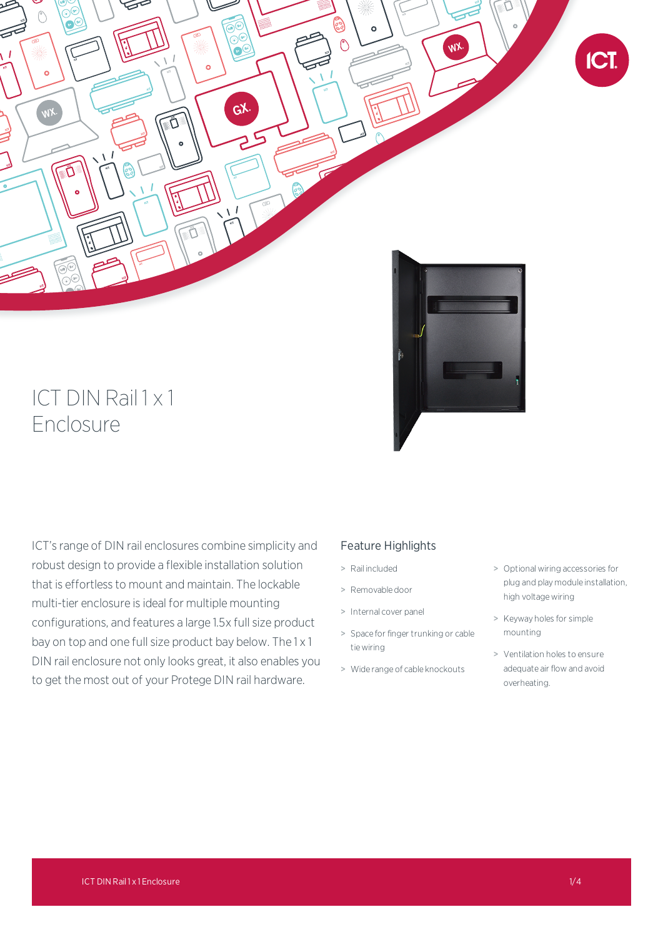

# $ICT$  DIN Rail 1  $\times$  1 Enclosure

ICT's range of DIN rail enclosures combine simplicity and robust design to provide a flexible installation solution that is effortless to mount and maintain. The lockable multi-tier enclosure is ideal for multiple mounting configurations, and features a large 1.5x full size product bay on top and one full size product bay below. The 1 x 1 DIN rail enclosure not only looks great, it also enables you to get the most out of your Protege DIN rail hardware.

# Feature Highlights

- > Rail included
- > Removable door
- > Internal cover panel
- > Space for finger trunking or cable tie wiring
- > Wide range of cable knockouts
- > Optional wiring accessories for plug and play module installation, high voltage wiring
- > Keyway holes for simple mounting
- > Ventilation holes to ensure adequate air flow and avoid overheating.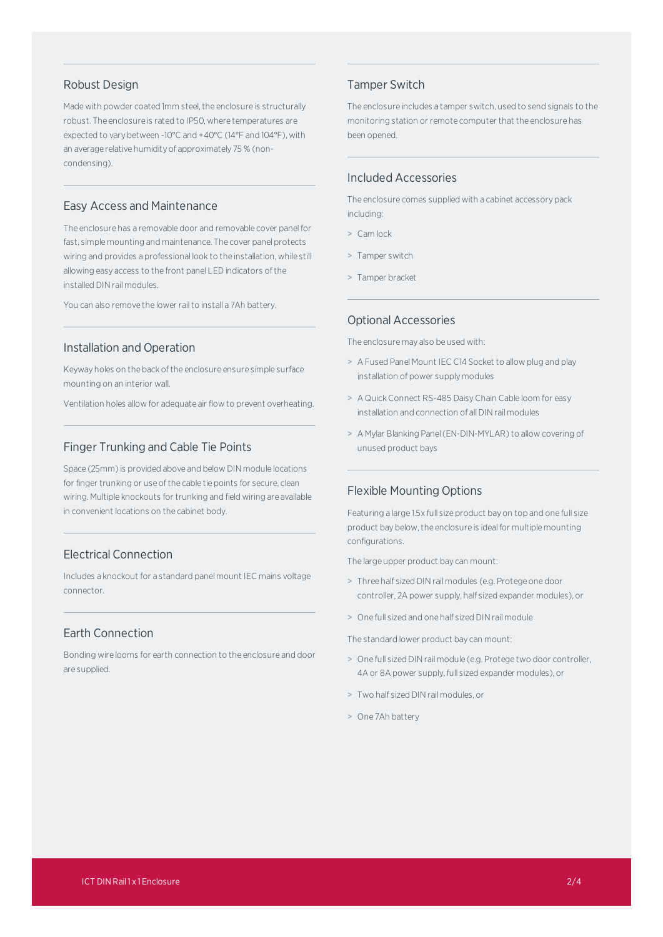#### Robust Design

Made with powder coated 1mm steel, the enclosure is structurally robust. The enclosure is rated to IP50, where temperatures are expected to vary between -10°C and +40°C (14°F and 104°F), with an average relative humidity of approximately 75 % (noncondensing).

#### Easy Access and Maintenance

The enclosure has a removable door and removable cover panelfor fast, simple mounting and maintenance. The cover panel protects wiring and provides a professional look to the installation, while still allowing easy access to the front panel LED indicators ofthe installed DIN rail modules.

You can also remove the lower rail to install a 7Ah battery.

#### Installation and Operation

Keyway holes on the back of the enclosure ensure simple surface mounting on an interior wall.

Ventilation holes allow for adequate air flow to prevent overheating.

#### Finger Trunking and Cable Tie Points

Space (25mm) is provided above and below DIN module locations for finger trunking or use of the cable tie points for secure, clean wiring. Multiple knockouts for trunking and field wiring are available in convenient locations on the cabinet body.

#### Electrical Connection

Includes a knockout for a standard panel mount IEC mains voltage connector.

### Earth Connection

Bonding wire looms for earth connection to the enclosure and door are supplied.

#### Tamper Switch

The enclosure includes a tamper switch, used to send signals to the monitoring station or remote computer that the enclosure has been opened.

#### Included Accessories

The enclosure comes supplied with a cabinet accessory pack including:

- > Cam lock
- > Tamper switch
- > Tamper bracket

#### Optional Accessories

The enclosure may also be used with:

- > A Fused Panel Mount IEC C14 Socket to allow plug and play installation of power supply modules
- > A Quick Connect RS-485 DaisyChain Cable loom for easy installation and connection of all DIN rail modules
- > A Mylar Blanking Panel(EN-DIN-MYLAR) to allow covering of unused product bays

#### Flexible Mounting Options

Featuring a large 1.5x full size product bay on top and one full size product bay below, the enclosure is ideal for multiple mounting configurations.

The large upper product bay can mount:

- > Three half sized DINrail modules (e.g. Protege one door controller, 2A power supply, half sized expander modules), or
- > One full sized and one half sized DINrail module

The standard lower product bay can mount:

- > One full sized DINrail module (e.g. Protege two door controller, 4A or 8A power supply, full sized expander modules), or
- > Two half sized DINrail modules, or
- > One 7Ah battery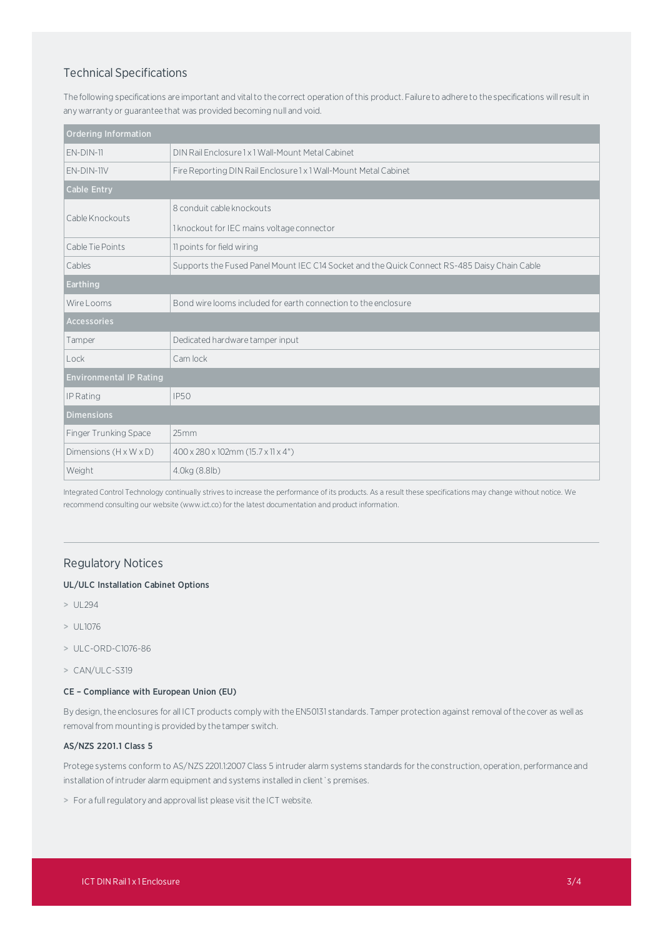## Technical Specifications

The following specifications are important and vital to the correct operation of this product. Failure to adhere to the specifications will result in any warranty or guarantee that was provided becoming null and void.

| <b>Ordering Information</b>        |                                                                                              |
|------------------------------------|----------------------------------------------------------------------------------------------|
| $EN-DIN-11$                        | DIN Rail Enclosure 1 x 1 Wall-Mount Metal Cabinet                                            |
| EN-DIN-11V                         | Fire Reporting DIN Rail Enclosure 1 x 1 Wall-Mount Metal Cabinet                             |
| <b>Cable Entry</b>                 |                                                                                              |
| Cable Knockouts                    | 8 conduit cable knockouts                                                                    |
|                                    | 1 knockout for IEC mains voltage connector                                                   |
| Cable Tie Points                   | 11 points for field wiring                                                                   |
| Cables                             | Supports the Fused Panel Mount IEC C14 Socket and the Quick Connect RS-485 Daisy Chain Cable |
| <b>Earthing</b>                    |                                                                                              |
| Wire Looms                         | Bond wire looms included for earth connection to the enclosure                               |
| <b>Accessories</b>                 |                                                                                              |
| Tamper                             | Dedicated hardware tamper input                                                              |
| Lock                               | Cam lock                                                                                     |
| <b>Environmental IP Rating</b>     |                                                                                              |
| IP Rating                          | <b>IP50</b>                                                                                  |
| <b>Dimensions</b>                  |                                                                                              |
| Finger Trunking Space              | 25mm                                                                                         |
| Dimensions $(H \times W \times D)$ | 400 x 280 x 102mm (15.7 x 11 x 4")                                                           |
| Weight                             | 4.0kg (8.8lb)                                                                                |

Integrated Control Technology continually strives to increase the performance of its products. As a result these specifications may change without notice. We recommend consulting our website (www.ict.co) for the latest documentation and product information.

### Regulatory Notices

#### UL/ULC Installation Cabinet Options

- > UL294
- > UL1076
- > ULC-ORD-C1076-86
- > CAN/ULC-S319

#### CE – Compliance with European Union (EU)

By design,the enclosures for all ICT products complywith the EN50131 standards. Tamper protection against removal ofthe cover as well as removal from mounting is provided by the tamper switch.

#### AS/NZS 2201.1 Class 5

Protege systems conform to AS/NZS 2201.1:2007 Class 5 intruder alarm systems standards for the construction, operation, performance and installation of intruder alarm equipment and systems installed in client's premises.

> For a full regulatory and approval list please visit the ICT website.